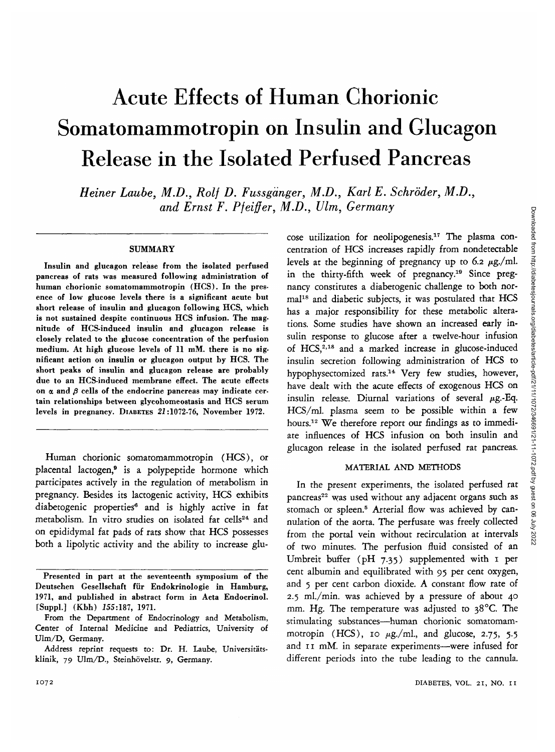# Acute Effects of Human Chorionic Somatomammotropin on Insulin and Glucagon Release in the Isolated Perfused Pancreas

*Heiner Laube, M.D., Rolf D. Fussga'nger, M.D., Karl E. Schroder, M.D., and Ernst F. Pfeiffer, M.D., Ulm, Germany*

## **SUMMARY**

Insulin and glucagon release from the isolated perfused pancreas of rats was measured following administration of human chorionic somatomammotropin (HCS). In the presence of low glucose levels there is a significant acute but short release of insulin and glucagon following HCS, which is not sustained despite continuous HCS infusion. The magnitude of HCS-induced insulin and glucagon release is closely related to the glucose concentration of the perfusion medium. At high glucose levels of 11 mM. there is no significant action on insulin or glucagon output by HCS. The short peaks of insulin and glucagon release are probably due to an HCS-induced membrane effect. The acute effects on  $\alpha$  and  $\beta$  cells of the endocrine pancreas may indicate certain relationships between glycohomeostasis and HCS serum levels in pregnancy. DIABETES 21:1072-76, November 1972.

Human chorionic somatomammotropin (HCS), or placental lactogen,<sup>9</sup> is a polypeptide hormone which participates actively in the regulation of metabolism in pregnancy. Besides its lactogenic activity, HCS exhibits diabetogenic properties<sup>6</sup> and is highly active in fat metabolism. In vitro studies on isolated fat cells<sup>24</sup> and on epididymal fat pads of rats show that HCS possesses both a lipolytic activity and the ability to increase glu-

cose utilization for neolipogenesis.17 The plasma concentration of HCS increases rapidly from nondetectable levels at the beginning of pregnancy up to 6.2  $\mu$ g./ml. in the thirty-fifth week of pregnancy.<sup>19</sup> Since pregnancy constitutes a diabetogenic challenge to both normal<sup>18</sup> and diabetic subjects, it was postulated that HCS has a major responsibility for these metabolic alterations. Some studies have shown an increased early insulin response to glucose after a twelve-hour infusion of HCS,<sup>2,18</sup> and a marked increase in glucose-induced insulin secretion following administration of HCS to hypophysectomized rats.<sup>14</sup> Very few studies, however, have dealt with the acute effects of exogenous HCS on insulin release. Diurnal variations of several  $\mu$ g.-Eq. HCS/ml. plasma seem to be possible within a few hours.<sup>12</sup> We therefore report our findings as to immediate influences of HCS infusion on both insulin and glucagon release in the isolated perfused rat pancreas.

#### MATERIAL AND METHODS

In the present experiments, the isolated perfused rat pancreas<sup>22</sup> was used without any adjacent organs such as stomach or spleen.<sup>5</sup> Arterial flow was achieved by cannulation of the aorta. The perfusate was freely collected from the portal vein without recirculation at intervals of two minutes. The perfusion fluid consisted of an Umbreit buffer (pH 7.35) supplemented with 1 per cent albumin and equilibrated with 95 per cent oxygen, and 5 per cent carbon dioxide. A constant flow rate of 2.5 ml./min. was achieved by a pressure of about 40 mm. Hg. The temperature was adjusted to  $38^{\circ}$ C. The stimulating substances—human chorionic somatomammotropin (HCS), 10  $\mu$ g./ml., and glucose, 2.75, 5.5 and 11 mM. in separate experiments—were infused for different periods into the tube leading to the cannula.

Presented in part at the seventeenth symposium of the Deutschen Gesellschaft fiir Endokrinologie in Hamburg, 1971, and published in abstract form in Acta Endocrinol. [Suppl.] (Kbh) 155:187, 1971.

From the Department of Endocrinology and Metabolism, Center of Internal Medicine and Pediatrics, University of Ulm/D, Germany.

Address reprint requests to: Dr. H. Laube, Universitätsklinik, 79 Ulm/D., Steinhövelstr. 9, Germany.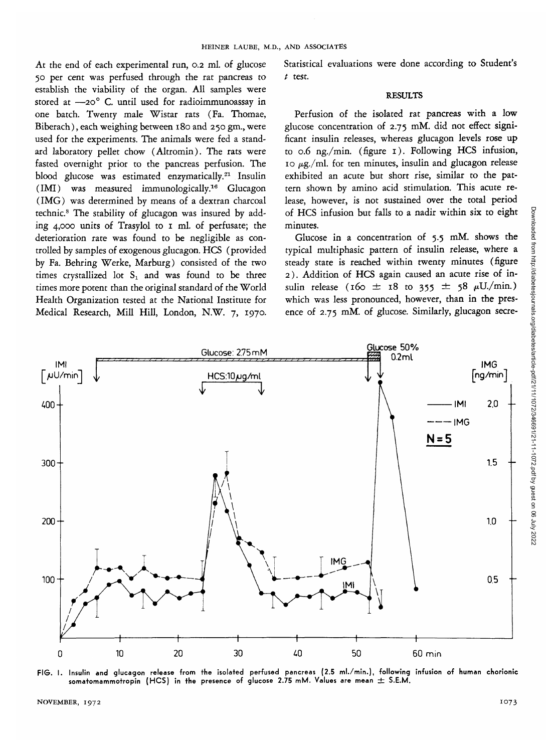At the end of each experimental run, 0.2 ml. of glucose 50 per cent was perfused through the rat pancreas to establish the viability of the organ. All samples were stored at  $-20^\circ$  C. until used for radioimmunoassay in one batch. Twenty male Wistar rats (Fa. Thomae, Biberach), each weighing between 180 and 250 gm., were used for the experiments. The animals were fed a standard laboratory pellet chow (Altromin). The rats were fasted overnight prior to the pancreas perfusion. The blood glucose was estimated enzymatically.<sup>21</sup> Insulin (IMI) was measured immunologically.16 Glucagon (IMG) was determined by means of a dextran charcoal technic.8 The stability of glucagon was insured by adding 4,000 units of Trasylol to 1 ml. of perfusate; the deterioration rate was found to be negligible as controlled by samples of exogenous glucagon. HCS (provided by Fa. Behring Werke, Marburg) consisted of the two times crystallized lot  $S_1$  and was found to be three times more potent than the original standard of the World Health Organization tested at the National Institute for Medical Research, Mill Hill, London, N.W. 7, 1970.

Statistical evaluations were done according to Student's *t* test.

## RESULTS

Perfusion of the isolated rat pancreas with a low glucose concentration of 2.75 mM. did not effect significant insulin releases, whereas glucagon levels rose up to 0.6 ng./min. (figure 1). Following HCS infusion, 10  $\mu$ g./ml. for ten minutes, insulin and glucagon release exhibited an acute but short rise, similar to the pattern shown by amino acid stimulation. This acute release, however, is not sustained over the total period of HCS infusion but falls to a nadir within six to eight minutes.

Glucose in a concentration of 5.5 mM. shows the typical multiphasic pattern of insulin release, where a steady state is reached within twenty minutes (figure 2). Addition of HCS again caused an acute rise of insulin release ( $160 \pm 18$  to  $355 \pm 58$   $\mu$ U./min.) which was less pronounced, however, than in the presence of 2.75 mM. of glucose. Similarly, glucagon secre-



**FIG. I. Insulin and glucagon release from the isolated perfused pancreas (2.5 ml./min.), following infusion of human chorionic somatomammotropin (HCS) in the presence of glucose 2.75 mM. Values are mean ± S.E.M.**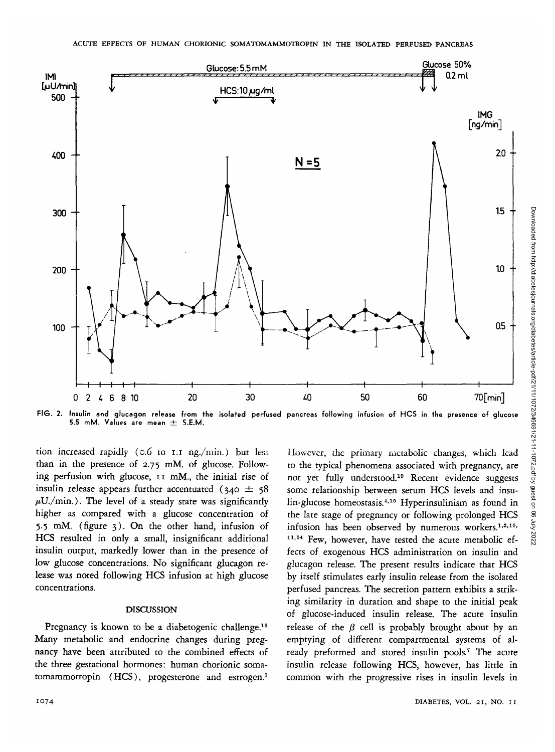

FIG. 2. Insulin and glucagon release from the isolated perfused pancreas following infusion of HCS in the presence of glucose 5.5 mM. Values are mean  $\pm$  S.E.M.

tion increased rapidly (o.6 to I.I ng./min.) but less than in the presence of 2.75 mM. of glucose. Following perfusion with glucose, 11 mM., the initial rise of insulin release appears further accentuated ( $340 \pm 58$  $\mu$ U./min.). The level of a steady state was significantly higher as compared with a glucose concentration of 5.5 mM. (figure 3). On the other hand, infusion of HCS resulted in only a small, insignificant additional insulin output, markedly lower than in the presence of low glucose concentrations. No significant glucagon release was noted following HCS infusion at high glucose concentrations.

### DISCUSSION

Pregnancy is known to be a diabetogenic challenge.<sup>13</sup> Many metabolic and endocrine changes during pregnancy have been attributed to the combined effects of the three gestational hormones: human chorionic somatomammotropin (HCS), progesterone and estrogen.<sup>3</sup>

ing similarity in duration and shape to the initial peak of glucose-induced insulin release. The acute insulin release of the  $\beta$  cell is probably brought about by an emptying of different compartmental systems of already preformed and stored insulin pools.<sup>7</sup> The acute insulin release following HCS, however, has little in common with the progressive rises in insulin levels in 1074 DIABETES, VOL. 21, NO. II

Downloaded from http://diabetesjournals.org/diabetes/article-pdf/21/11/1072/346691/21-11-1072.pdf by guest on 06 July 2022

Downloaded from http://diabetesjournals.org/diabetes/article-pdf/21/11072/346691/21-11-1072.pdf by guest on 06 July 2022

glucagon release. The present results indicate that HCS by itself stimulates early insulin release from the isolated perfused pancreas. The secretion pattern exhibits a strik-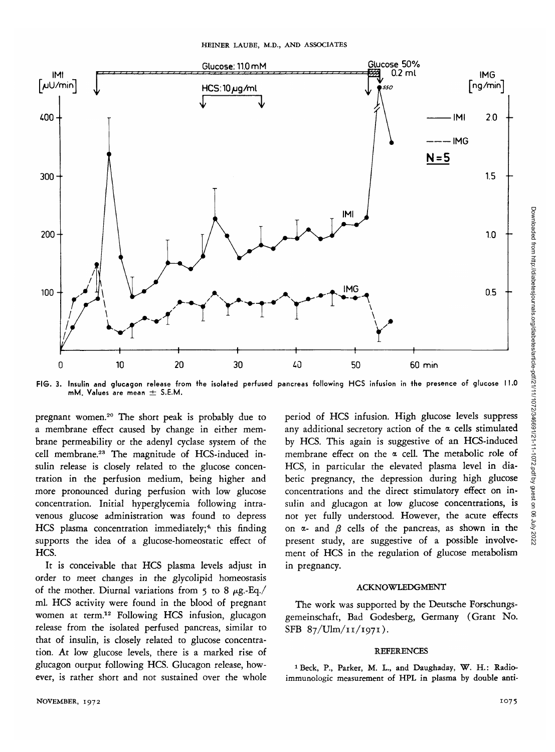

FIG. 3. Insulin and glucagon release from the isolated perfused pancreas following HCS infusion in the presence of glucose 11.0 mM. Values are mean  $\pm$  S.E.M.

pregnant women.<sup>20</sup> The short peak is probably due to a membrane effect caused by change in either membrane permeability or the adenyl cyclase system of the cell membrane.23 The magnitude of HCS-induced insulin release is closely related to the glucose concentration in the perfusion medium, being higher and more pronounced during perfusion with low glucose concentration. Initial hyperglycemia following intravenous glucose administration was found to depress HCS plasma concentration immediately;<sup>4</sup> this finding supports the idea of a glucose-homeostatic effect of HCS.

It is conceivable that HCS plasma levels adjust in order to meet changes in the glycolipid homeostasis of the mother. Diurnal variations from 5 to 8  $\mu$ g.-Eq./ ml. HCS activity were found in the blood of pregnant women at term.12 Following HCS infusion, glucagon release from the isolated perfused pancreas, similar to that of insulin, is closely related to glucose concentration. At low glucose levels, there is a marked rise of glucagon output following HCS. Glucagon release, however, is rather short and not sustained over the whole period of HCS infusion. High glucose levels suppress any additional secretory action of the  $\alpha$  cells stimulated by HCS. This again is suggestive of an HCS-induced membrane effect on the  $\alpha$  cell. The metabolic role of HCS, in particular the elevated plasma level in diabetic pregnancy, the depression during high glucose concentrations and the direct stimulatory effect on insulin and glucagon at low glucose concentrations, is not yet fully understood. However, the acute effects on  $\alpha$ - and  $\beta$  cells of the pancreas, as shown in the present study, are suggestive of a possible involvement of HCS in the regulation of glucose metabolism in pregnancy.

### ACKNOWLEDGMENT

The work was supported by the Deutsche Forschungsgemeinschaft, Bad Godesberg, Germany (Grant No.  $SFB 87/Ulm/11/1971$ ).

## REFERENCES

<sup>1</sup> Beck, P., Parker, M. L., and Daughaday, W. H.: Radioimmunologic measurement of HPL in plasma by double anti-